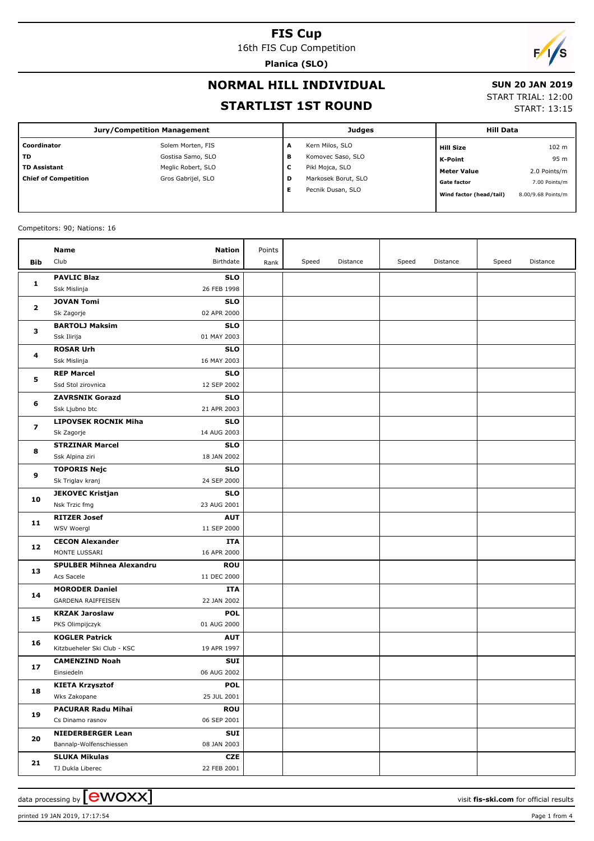16th FIS Cup Competition

**Planica (SLO)**

# $F/S$

## **NORMAL HILL INDIVIDUAL**

## **SUN 20 JAN 2019**

#### **STARTLIST 1ST ROUND**

START TRIAL: 12:00

START: 13:15

|                             | <b>Jury/Competition Management</b> |   | Judges              | <b>Hill Data</b>        |                    |
|-----------------------------|------------------------------------|---|---------------------|-------------------------|--------------------|
| Coordinator                 | Solem Morten, FIS                  | A | Kern Milos, SLO     | <b>Hill Size</b>        | 102 <sub>m</sub>   |
| TD                          | Gostisa Samo, SLO                  | в | Komovec Saso, SLO   | K-Point                 | 95 m               |
| <b>TD Assistant</b>         | Meglic Robert, SLO                 | c | Pikl Mojca, SLO     | <b>Meter Value</b>      | 2.0 Points/m       |
| <b>Chief of Competition</b> | Gros Gabrijel, SLO                 | D | Markosek Borut, SLO | <b>Gate factor</b>      | 7.00 Points/m      |
|                             |                                    | Е | Pecnik Dusan, SLO   | Wind factor (head/tail) | 8.00/9.68 Points/m |

Competitors: 90; Nations: 16

|            | <b>Name</b>                                          | Nation                    | Points |       |          |       |          |       |          |
|------------|------------------------------------------------------|---------------------------|--------|-------|----------|-------|----------|-------|----------|
| <b>Bib</b> | Club                                                 | Birthdate                 | Rank   | Speed | Distance | Speed | Distance | Speed | Distance |
|            | <b>PAVLIC Blaz</b>                                   | <b>SLO</b>                |        |       |          |       |          |       |          |
| 1          | Ssk Mislinja                                         | 26 FEB 1998               |        |       |          |       |          |       |          |
| 2          | <b>JOVAN Tomi</b>                                    | <b>SLO</b>                |        |       |          |       |          |       |          |
|            | Sk Zagorje                                           | 02 APR 2000               |        |       |          |       |          |       |          |
| з          | <b>BARTOLJ Maksim</b>                                | <b>SLO</b>                |        |       |          |       |          |       |          |
|            | Ssk Ilirija                                          | 01 MAY 2003               |        |       |          |       |          |       |          |
|            | <b>ROSAR Urh</b>                                     | <b>SLO</b>                |        |       |          |       |          |       |          |
| 4          | Ssk Mislinja                                         | 16 MAY 2003               |        |       |          |       |          |       |          |
|            | <b>REP Marcel</b>                                    | <b>SLO</b>                |        |       |          |       |          |       |          |
| 5          | Ssd Stol zirovnica                                   | 12 SEP 2002               |        |       |          |       |          |       |          |
|            | <b>ZAVRSNIK Gorazd</b>                               | <b>SLO</b>                |        |       |          |       |          |       |          |
| 6          | Ssk Ljubno btc                                       | 21 APR 2003               |        |       |          |       |          |       |          |
| 7          | <b>LIPOVSEK ROCNIK Miha</b>                          | <b>SLO</b>                |        |       |          |       |          |       |          |
|            | Sk Zagorje                                           | 14 AUG 2003               |        |       |          |       |          |       |          |
| 8          | <b>STRZINAR Marcel</b>                               | <b>SLO</b>                |        |       |          |       |          |       |          |
|            | Ssk Alpina ziri                                      | 18 JAN 2002               |        |       |          |       |          |       |          |
| 9          | <b>TOPORIS Nejc</b>                                  | <b>SLO</b>                |        |       |          |       |          |       |          |
|            | Sk Triglav kranj                                     | 24 SEP 2000               |        |       |          |       |          |       |          |
| 10         | <b>JEKOVEC Kristjan</b>                              | <b>SLO</b>                |        |       |          |       |          |       |          |
|            | Nsk Trzic fmg                                        | 23 AUG 2001               |        |       |          |       |          |       |          |
| 11         | <b>RITZER Josef</b>                                  | <b>AUT</b>                |        |       |          |       |          |       |          |
|            | WSV Woergl                                           | 11 SEP 2000               |        |       |          |       |          |       |          |
| 12         | <b>CECON Alexander</b>                               | ITA                       |        |       |          |       |          |       |          |
|            | MONTE LUSSARI                                        | 16 APR 2000               |        |       |          |       |          |       |          |
| 13         | <b>SPULBER Mihnea Alexandru</b>                      | <b>ROU</b>                |        |       |          |       |          |       |          |
|            | Acs Sacele                                           | 11 DEC 2000               |        |       |          |       |          |       |          |
| 14         | <b>MORODER Daniel</b>                                | ITA                       |        |       |          |       |          |       |          |
|            | <b>GARDENA RAIFFEISEN</b>                            | 22 JAN 2002               |        |       |          |       |          |       |          |
| 15         | <b>KRZAK Jaroslaw</b>                                | <b>POL</b>                |        |       |          |       |          |       |          |
|            | PKS Olimpijczyk                                      | 01 AUG 2000               |        |       |          |       |          |       |          |
| 16         | <b>KOGLER Patrick</b><br>Kitzbueheler Ski Club - KSC | <b>AUT</b><br>19 APR 1997 |        |       |          |       |          |       |          |
|            |                                                      | <b>SUI</b>                |        |       |          |       |          |       |          |
| 17         | <b>CAMENZIND Noah</b><br>Einsiedeln                  | 06 AUG 2002               |        |       |          |       |          |       |          |
|            | <b>KIETA Krzysztof</b>                               | <b>POL</b>                |        |       |          |       |          |       |          |
| 18         | Wks Zakopane                                         | 25 JUL 2001               |        |       |          |       |          |       |          |
|            | <b>PACURAR Radu Mihai</b>                            | <b>ROU</b>                |        |       |          |       |          |       |          |
| 19         | Cs Dinamo rasnov                                     | 06 SEP 2001               |        |       |          |       |          |       |          |
|            | <b>NIEDERBERGER Lean</b>                             | SUI                       |        |       |          |       |          |       |          |
| 20         | Bannalp-Wolfenschiessen                              | 08 JAN 2003               |        |       |          |       |          |       |          |
|            | <b>SLUKA Mikulas</b>                                 | <b>CZE</b>                |        |       |          |       |          |       |          |
| 21         | TJ Dukla Liberec                                     | 22 FEB 2001               |        |       |          |       |          |       |          |

printed 19 JAN 2019, 17:17:54 Page 1 from 4

data processing by **CWOXX**  $\blacksquare$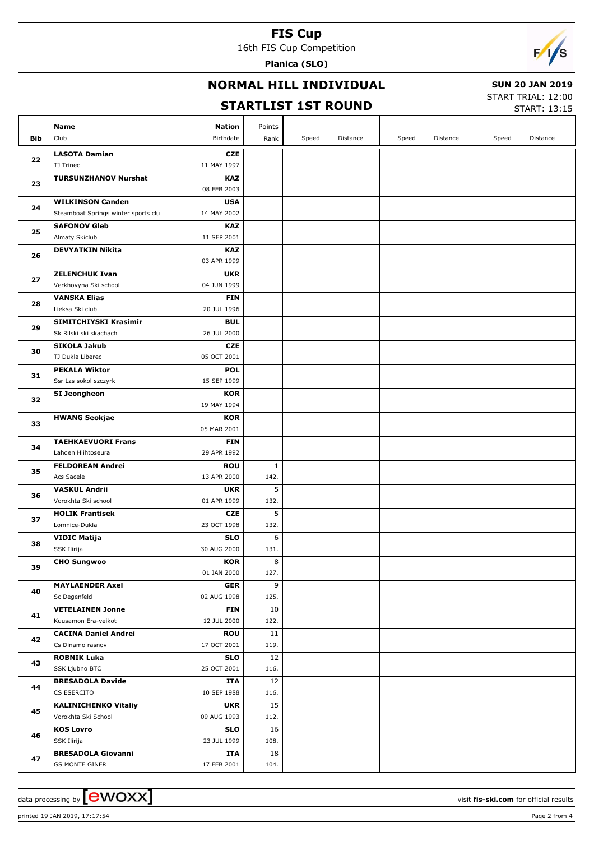16th FIS Cup Competition **Planica (SLO)**

 $F/1/s$ 

## **NORMAL HILL INDIVIDUAL**

### **SUN 20 JAN 2019**

## **STARTLIST 1ST ROUND**

START TRIAL: 12:00

START: 13:15

|     | Name<br><b>Nation</b>                                                        | Points       |                   |                   |                   |
|-----|------------------------------------------------------------------------------|--------------|-------------------|-------------------|-------------------|
| Bib | Club<br>Birthdate                                                            | Rank         | Speed<br>Distance | Speed<br>Distance | Distance<br>Speed |
|     | <b>LASOTA Damian</b><br>CZE                                                  |              |                   |                   |                   |
| 22  | 11 MAY 1997<br>TJ Trinec                                                     |              |                   |                   |                   |
|     | <b>TURSUNZHANOV Nurshat</b><br><b>KAZ</b>                                    |              |                   |                   |                   |
| 23  | 08 FEB 2003                                                                  |              |                   |                   |                   |
|     | <b>WILKINSON Canden</b><br><b>USA</b>                                        |              |                   |                   |                   |
| 24  | 14 MAY 2002<br>Steamboat Springs winter sports clu                           |              |                   |                   |                   |
|     | <b>SAFONOV Gleb</b><br><b>KAZ</b>                                            |              |                   |                   |                   |
| 25  | Almaty Skiclub<br>11 SEP 2001                                                |              |                   |                   |                   |
|     | <b>DEVYATKIN Nikita</b><br><b>KAZ</b>                                        |              |                   |                   |                   |
| 26  | 03 APR 1999                                                                  |              |                   |                   |                   |
|     | <b>ZELENCHUK Ivan</b><br><b>UKR</b>                                          |              |                   |                   |                   |
| 27  | Verkhovyna Ski school<br>04 JUN 1999                                         |              |                   |                   |                   |
|     | <b>VANSKA Elias</b><br><b>FIN</b>                                            |              |                   |                   |                   |
| 28  | Lieksa Ski club<br>20 JUL 1996                                               |              |                   |                   |                   |
|     | SIMITCHIYSKI Krasimir<br><b>BUL</b>                                          |              |                   |                   |                   |
| 29  | Sk Rilski ski skachach<br>26 JUL 2000                                        |              |                   |                   |                   |
|     | <b>SIKOLA Jakub</b><br><b>CZE</b>                                            |              |                   |                   |                   |
| 30  | 05 OCT 2001<br>TJ Dukla Liberec                                              |              |                   |                   |                   |
|     | <b>PEKALA Wiktor</b><br><b>POL</b>                                           |              |                   |                   |                   |
| 31  | 15 SEP 1999<br>Ssr Lzs sokol szczyrk                                         |              |                   |                   |                   |
|     | SI Jeongheon<br><b>KOR</b>                                                   |              |                   |                   |                   |
| 32  | 19 MAY 1994                                                                  |              |                   |                   |                   |
|     | <b>HWANG Seokjae</b><br><b>KOR</b>                                           |              |                   |                   |                   |
| 33  | 05 MAR 2001                                                                  |              |                   |                   |                   |
|     | <b>TAEHKAEVUORI Frans</b><br><b>FIN</b>                                      |              |                   |                   |                   |
| 34  | Lahden Hiihtoseura<br>29 APR 1992                                            |              |                   |                   |                   |
|     | <b>FELDOREAN Andrei</b><br><b>ROU</b>                                        | $\mathbf{1}$ |                   |                   |                   |
| 35  | Acs Sacele<br>13 APR 2000                                                    | 142.         |                   |                   |                   |
|     | <b>VASKUL Andrii</b><br><b>UKR</b>                                           | 5            |                   |                   |                   |
| 36  | Vorokhta Ski school<br>01 APR 1999                                           | 132.         |                   |                   |                   |
|     | <b>HOLIK Frantisek</b><br><b>CZE</b>                                         | 5            |                   |                   |                   |
| 37  | Lomnice-Dukla<br>23 OCT 1998                                                 | 132.         |                   |                   |                   |
|     | <b>VIDIC Matija</b><br><b>SLO</b>                                            | 6            |                   |                   |                   |
| 38  | SSK Ilirija<br>30 AUG 2000                                                   | 131.         |                   |                   |                   |
|     | <b>CHO Sungwoo</b><br>KOR                                                    | 8            |                   |                   |                   |
| 39  | 01 JAN 2000                                                                  | 127.         |                   |                   |                   |
|     | <b>MAYLAENDER Axel</b><br><b>GER</b>                                         | 9            |                   |                   |                   |
| 40  | Sc Degenfeld<br>02 AUG 1998                                                  | 125.         |                   |                   |                   |
|     | <b>VETELAINEN Jonne</b><br><b>FIN</b>                                        | 10           |                   |                   |                   |
| 41  | Kuusamon Era-veikot<br>12 JUL 2000                                           | 122.         |                   |                   |                   |
|     |                                                                              |              |                   |                   |                   |
| 42  | <b>CACINA Daniel Andrei</b><br><b>ROU</b><br>17 OCT 2001<br>Cs Dinamo rasnov | 11<br>119.   |                   |                   |                   |
|     |                                                                              |              |                   |                   |                   |
| 43  | <b>SLO</b><br><b>ROBNIK Luka</b>                                             | 12           |                   |                   |                   |
|     | SSK Ljubno BTC<br>25 OCT 2001                                                | 116.         |                   |                   |                   |
| 44  | <b>BRESADOLA Davide</b><br>ITA                                               | 12           |                   |                   |                   |
|     | CS ESERCITO<br>10 SEP 1988                                                   | 116.         |                   |                   |                   |
| 45  | <b>KALINICHENKO Vitaliy</b><br><b>UKR</b>                                    | 15           |                   |                   |                   |
|     | Vorokhta Ski School<br>09 AUG 1993                                           | 112.         |                   |                   |                   |
| 46  | <b>KOS Lovro</b><br><b>SLO</b>                                               | 16           |                   |                   |                   |
|     | SSK Ilirija<br>23 JUL 1999                                                   | 108.         |                   |                   |                   |
| 47  | <b>BRESADOLA Giovanni</b><br>ITA                                             | 18           |                   |                   |                   |
|     | <b>GS MONTE GINER</b><br>17 FEB 2001                                         | 104.         |                   |                   |                   |

data processing by **CWOXX** and  $\overline{C}$  and  $\overline{C}$  and  $\overline{C}$  and  $\overline{C}$  and  $\overline{C}$  and  $\overline{C}$  and  $\overline{C}$  and  $\overline{C}$  and  $\overline{C}$  and  $\overline{C}$  and  $\overline{C}$  and  $\overline{C}$  and  $\overline{C}$  and  $\overline{C}$  and  $\overline{C}$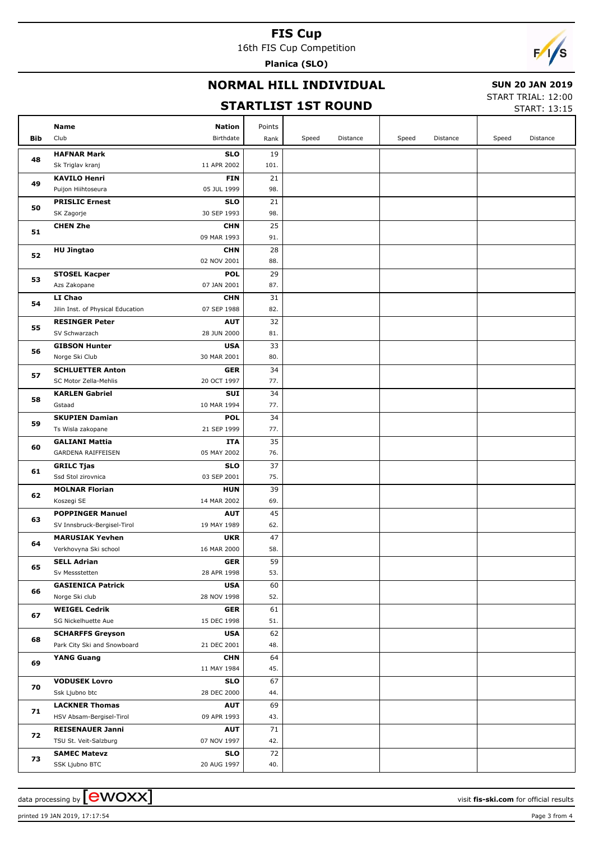16th FIS Cup Competition

**Planica (SLO)**

# $F/1/s$

## **NORMAL HILL INDIVIDUAL**

## **SUN 20 JAN 2019**

## **STARTLIST 1ST ROUND**

START TRIAL: 12:00

START: 13:15

| Bib | Name<br>Nation<br>Club<br>Birthdate                                                 | Points<br>Rank  | Speed | Distance | Speed | Distance | Speed | Distance |
|-----|-------------------------------------------------------------------------------------|-----------------|-------|----------|-------|----------|-------|----------|
|     | <b>HAFNAR Mark</b><br><b>SLO</b>                                                    | 19              |       |          |       |          |       |          |
| 48  | Sk Triglav kranj<br>11 APR 2002                                                     | 101.            |       |          |       |          |       |          |
|     | <b>KAVILO Henri</b><br><b>FIN</b>                                                   | 21              |       |          |       |          |       |          |
| 49  | Puijon Hiihtoseura<br>05 JUL 1999                                                   | 98.             |       |          |       |          |       |          |
|     | <b>PRISLIC Ernest</b><br><b>SLO</b>                                                 | 21              |       |          |       |          |       |          |
| 50  | SK Zagorje<br>30 SEP 1993                                                           | 98.             |       |          |       |          |       |          |
|     | <b>CHEN Zhe</b><br><b>CHN</b>                                                       | 25              |       |          |       |          |       |          |
| 51  | 09 MAR 1993                                                                         | 91.             |       |          |       |          |       |          |
|     | <b>HU Jingtao</b><br><b>CHN</b>                                                     | 28              |       |          |       |          |       |          |
| 52  | 02 NOV 2001                                                                         | 88.             |       |          |       |          |       |          |
|     | <b>STOSEL Kacper</b><br><b>POL</b>                                                  | 29              |       |          |       |          |       |          |
| 53  | Azs Zakopane<br>07 JAN 2001                                                         | 87.             |       |          |       |          |       |          |
|     | LI Chao<br><b>CHN</b>                                                               | 31              |       |          |       |          |       |          |
| 54  | Jilin Inst. of Physical Education<br>07 SEP 1988                                    | 82.             |       |          |       |          |       |          |
|     | <b>RESINGER Peter</b><br><b>AUT</b>                                                 | 32              |       |          |       |          |       |          |
| 55  | SV Schwarzach<br>28 JUN 2000                                                        | 81.             |       |          |       |          |       |          |
| 56  | <b>GIBSON Hunter</b><br><b>USA</b>                                                  | 33              |       |          |       |          |       |          |
|     | Norge Ski Club<br>30 MAR 2001                                                       | 80.             |       |          |       |          |       |          |
| 57  | <b>SCHLUETTER Anton</b><br><b>GER</b>                                               | 34              |       |          |       |          |       |          |
|     | SC Motor Zella-Mehlis<br>20 OCT 1997                                                | 77.             |       |          |       |          |       |          |
| 58  | <b>KARLEN Gabriel</b><br><b>SUI</b>                                                 | 34              |       |          |       |          |       |          |
|     | Gstaad<br>10 MAR 1994                                                               | 77.             |       |          |       |          |       |          |
| 59  | <b>SKUPIEN Damian</b><br><b>POL</b>                                                 | 34              |       |          |       |          |       |          |
|     | Ts Wisla zakopane<br>21 SEP 1999                                                    | 77.             |       |          |       |          |       |          |
| 60  | <b>GALIANI Mattia</b><br><b>ITA</b>                                                 | 35              |       |          |       |          |       |          |
|     | GARDENA RAIFFEISEN<br>05 MAY 2002                                                   | 76.             |       |          |       |          |       |          |
| 61  | <b>GRILC Tjas</b><br><b>SLO</b>                                                     | 37              |       |          |       |          |       |          |
|     | Ssd Stol zirovnica<br>03 SEP 2001                                                   | 75.             |       |          |       |          |       |          |
| 62  | <b>MOLNAR Florian</b><br><b>HUN</b>                                                 | 39              |       |          |       |          |       |          |
|     | Koszegi SE<br>14 MAR 2002                                                           | 69.             |       |          |       |          |       |          |
| 63  | <b>POPPINGER Manuel</b><br><b>AUT</b><br>SV Innsbruck-Bergisel-Tirol<br>19 MAY 1989 | 45<br>62.       |       |          |       |          |       |          |
|     | <b>MARUSIAK Yevhen</b><br><b>UKR</b>                                                | 47              |       |          |       |          |       |          |
| 64  | 16 MAR 2000<br>Verkhovyna Ski school                                                | 58.             |       |          |       |          |       |          |
|     | <b>SELL Adrian</b><br><b>GER</b>                                                    | $\overline{59}$ |       |          |       |          |       |          |
| 65  | Sv Messstetten<br>28 APR 1998                                                       | 53.             |       |          |       |          |       |          |
|     | <b>GASIENICA Patrick</b><br><b>USA</b>                                              | 60              |       |          |       |          |       |          |
| 66  | Norge Ski club<br>28 NOV 1998                                                       | 52.             |       |          |       |          |       |          |
|     | <b>WEIGEL Cedrik</b><br><b>GER</b>                                                  | 61              |       |          |       |          |       |          |
| 67  | SG Nickelhuette Aue<br>15 DEC 1998                                                  | 51.             |       |          |       |          |       |          |
|     | <b>USA</b><br><b>SCHARFFS Greyson</b>                                               | 62              |       |          |       |          |       |          |
| 68  | Park City Ski and Snowboard<br>21 DEC 2001                                          | 48.             |       |          |       |          |       |          |
|     | <b>YANG Guang</b><br><b>CHN</b>                                                     | 64              |       |          |       |          |       |          |
| 69  | 11 MAY 1984                                                                         | 45.             |       |          |       |          |       |          |
|     | <b>VODUSEK Lovro</b><br><b>SLO</b>                                                  | 67              |       |          |       |          |       |          |
| 70  | Ssk Ljubno btc<br>28 DEC 2000                                                       | 44.             |       |          |       |          |       |          |
|     | <b>LACKNER Thomas</b><br><b>AUT</b>                                                 | 69              |       |          |       |          |       |          |
| 71  | 09 APR 1993<br>HSV Absam-Bergisel-Tirol                                             | 43.             |       |          |       |          |       |          |
| 72  | <b>REISENAUER Janni</b><br><b>AUT</b>                                               | 71              |       |          |       |          |       |          |
|     | 07 NOV 1997<br>TSU St. Veit-Salzburg                                                | 42.             |       |          |       |          |       |          |
| 73  | <b>SLO</b><br><b>SAMEC Matevz</b>                                                   | 72              |       |          |       |          |       |          |
|     | SSK Ljubno BTC<br>20 AUG 1997                                                       | 40.             |       |          |       |          |       |          |